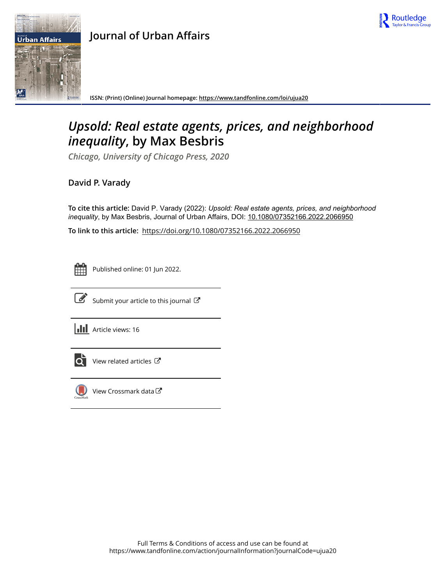

## **Journal of Urban Affairs**



**ISSN: (Print) (Online) Journal homepage:<https://www.tandfonline.com/loi/ujua20>**

## *Upsold: Real estate agents, prices, and neighborhood inequality***, by Max Besbris**

*Chicago, University of Chicago Press, 2020*

**David P. Varady**

**To cite this article:** David P. Varady (2022): *Upsold:Realestateagents,prices,andneighborhood inequality*, by Max Besbris, Journal of Urban Affairs, DOI: [10.1080/07352166.2022.2066950](https://www.tandfonline.com/action/showCitFormats?doi=10.1080/07352166.2022.2066950)

**To link to this article:** <https://doi.org/10.1080/07352166.2022.2066950>



Published online: 01 Jun 2022.



 $\overrightarrow{S}$  [Submit your article to this journal](https://www.tandfonline.com/action/authorSubmission?journalCode=ujua20&show=instructions)  $\overrightarrow{S}$ 

**III** Article views: 16



 $\overrightarrow{O}$  [View related articles](https://www.tandfonline.com/doi/mlt/10.1080/07352166.2022.2066950)  $\overrightarrow{C}$ 



[View Crossmark data](http://crossmark.crossref.org/dialog/?doi=10.1080/07352166.2022.2066950&domain=pdf&date_stamp=2022-06-01) $\mathbb{Z}$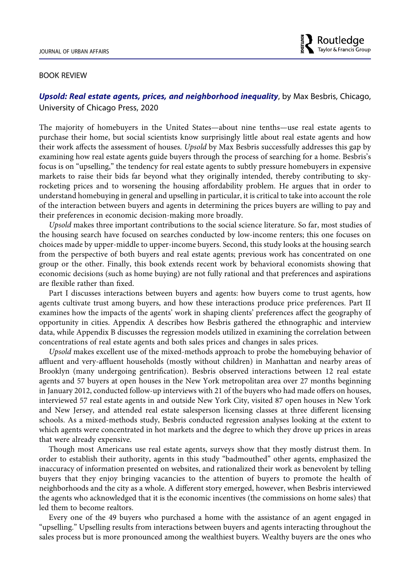## BOOK REVIEW

## *Upsold: Real estate agents, prices, and neighborhood inequality*, by Max Besbris, Chicago, University of Chicago Press, 2020

The majority of homebuyers in the United States—about nine tenths—use real estate agents to purchase their home, but social scientists know surprisingly little about real estate agents and how their work affects the assessment of houses. *Upsold* by Max Besbris successfully addresses this gap by examining how real estate agents guide buyers through the process of searching for a home. Besbris's focus is on "upselling," the tendency for real estate agents to subtly pressure homebuyers in expensive markets to raise their bids far beyond what they originally intended, thereby contributing to skyrocketing prices and to worsening the housing affordability problem. He argues that in order to understand homebuying in general and upselling in particular, it is critical to take into account the role of the interaction between buyers and agents in determining the prices buyers are willing to pay and their preferences in economic decision-making more broadly.

*Upsold* makes three important contributions to the social science literature. So far, most studies of the housing search have focused on searches conducted by low-income renters; this one focuses on choices made by upper-middle to upper-income buyers. Second, this study looks at the housing search from the perspective of both buyers and real estate agents; previous work has concentrated on one group or the other. Finally, this book extends recent work by behavioral economists showing that economic decisions (such as home buying) are not fully rational and that preferences and aspirations are flexible rather than fixed.

Part I discusses interactions between buyers and agents: how buyers come to trust agents, how agents cultivate trust among buyers, and how these interactions produce price preferences. Part II examines how the impacts of the agents' work in shaping clients' preferences affect the geography of opportunity in cities. Appendix A describes how Besbris gathered the ethnographic and interview data, while Appendix B discusses the regression models utilized in examining the correlation between concentrations of real estate agents and both sales prices and changes in sales prices.

*Upsold* makes excellent use of the mixed-methods approach to probe the homebuying behavior of affluent and very-affluent households (mostly without children) in Manhattan and nearby areas of Brooklyn (many undergoing gentrification). Besbris observed interactions between 12 real estate agents and 57 buyers at open houses in the New York metropolitan area over 27 months beginning in January 2012, conducted follow-up interviews with 21 of the buyers who had made offers on houses, interviewed 57 real estate agents in and outside New York City, visited 87 open houses in New York and New Jersey, and attended real estate salesperson licensing classes at three different licensing schools. As a mixed-methods study, Besbris conducted regression analyses looking at the extent to which agents were concentrated in hot markets and the degree to which they drove up prices in areas that were already expensive.

Though most Americans use real estate agents, surveys show that they mostly distrust them. In order to establish their authority, agents in this study "badmouthed" other agents, emphasized the inaccuracy of information presented on websites, and rationalized their work as benevolent by telling buyers that they enjoy bringing vacancies to the attention of buyers to promote the health of neighborhoods and the city as a whole. A different story emerged, however, when Besbris interviewed the agents who acknowledged that it is the economic incentives (the commissions on home sales) that led them to become realtors.

Every one of the 49 buyers who purchased a home with the assistance of an agent engaged in "upselling." Upselling results from interactions between buyers and agents interacting throughout the sales process but is more pronounced among the wealthiest buyers. Wealthy buyers are the ones who